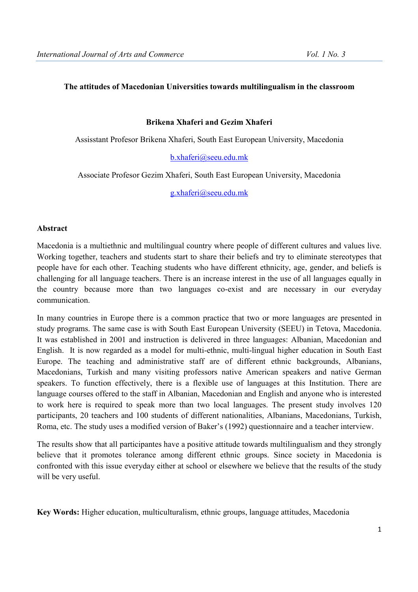#### **The attitudes of Macedonian Universities towards multilingualism in the classroom**

#### **Brikena Xhaferi and Gezim Xhaferi**

Assisstant Profesor Brikena Xhaferi, South East European University, Macedonia

b.xhaferi@seeu.edu.mk

Associate Profesor Gezim Xhaferi, South East European University, Macedonia

g.xhaferi@seeu.edu.mk

#### **Abstract**

Macedonia is a multiethnic and multilingual country where people of different cultures and values live. Working together, teachers and students start to share their beliefs and try to eliminate stereotypes that people have for each other. Teaching students who have different ethnicity, age, gender, and beliefs is challenging for all language teachers. There is an increase interest in the use of all languages equally in the country because more than two languages co-exist and are necessary in our everyday communication.

In many countries in Europe there is a common practice that two or more languages are presented in study programs. The same case is with South East European University (SEEU) in Tetova, Macedonia. It was established in 2001 and instruction is delivered in three languages: Albanian, Macedonian and English. It is now regarded as a model for multi-ethnic, multi-lingual higher education in South East Europe. The teaching and administrative staff are of different ethnic backgrounds, Albanians, Macedonians, Turkish and many visiting professors native American speakers and native German speakers. To function effectively, there is a flexible use of languages at this Institution. There are language courses offered to the staff in Albanian, Macedonian and English and anyone who is interested to work here is required to speak more than two local languages. The present study involves 120 participants, 20 teachers and 100 students of different nationalities, Albanians, Macedonians, Turkish, Roma, etc. The study uses a modified version of Baker's (1992) questionnaire and a teacher interview.

The results show that all participantes have a positive attitude towards multilingualism and they strongly believe that it promotes tolerance among different ethnic groups. Since society in Macedonia is confronted with this issue everyday either at school or elsewhere we believe that the results of the study will be very useful.

**Key Words:** Higher education, multiculturalism, ethnic groups, language attitudes, Macedonia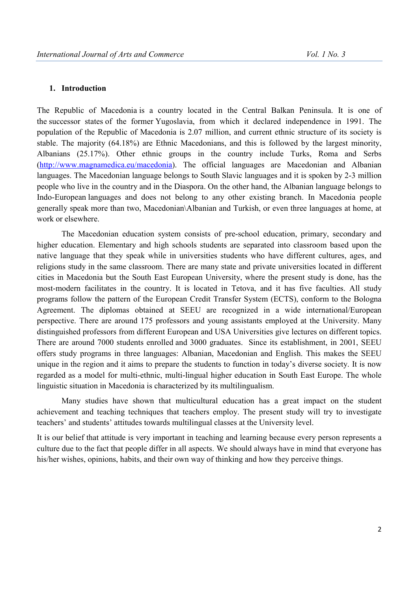### **1. Introduction**

The Republic of Macedonia is a country located in the Central Balkan Peninsula. It is one of the successor states of the former Yugoslavia, from which it declared independence in 1991. The population of the Republic of Macedonia is 2.07 million, and current ethnic structure of its society is stable. The majority (64.18%) are Ethnic Macedonians, and this is followed by the largest minority, Albanians (25.17%). Other ethnic groups in the country include Turks, Roma and Serbs (http://www.magnamedica.eu/macedonia). The official languages are Macedonian and Albanian languages. The Macedonian language belongs to South Slavic languages and it is spoken by 2-3 million people who live in the country and in the Diaspora. On the other hand, the Albanian language belongs to Indo-European languages and does not belong to any other existing branch. In Macedonia people generally speak more than two, Macedonian\Albanian and Turkish, or even three languages at home, at work or elsewhere.

 The Macedonian education system consists of pre-school education, primary, secondary and higher education. Elementary and high schools students are separated into classroom based upon the native language that they speak while in universities students who have different cultures, ages, and religions study in the same classroom. There are many state and private universities located in different cities in Macedonia but the South East European University, where the present study is done, has the most-modern facilitates in the country. It is located in Tetova, and it has five faculties. All study programs follow the pattern of the European Credit Transfer System (ECTS), conform to the Bologna Agreement. The diplomas obtained at SEEU are recognized in a wide international/European perspective. There are around 175 professors and young assistants employed at the University. Many distinguished professors from different European and USA Universities give lectures on different topics. There are around 7000 students enrolled and 3000 graduates. Since its establishment, in 2001, SEEU offers study programs in three languages: Albanian, Macedonian and English. This makes the SEEU unique in the region and it aims to prepare the students to function in today's diverse society. It is now regarded as a model for multi-ethnic, multi-lingual higher education in South East Europe. The whole linguistic situation in Macedonia is characterized by its multilingualism.

Many studies have shown that multicultural education has a great impact on the student achievement and teaching techniques that teachers employ. The present study will try to investigate teachers' and students' attitudes towards multilingual classes at the University level.

It is our belief that attitude is very important in teaching and learning because every person represents a culture due to the fact that people differ in all aspects. We should always have in mind that everyone has his/her wishes, opinions, habits, and their own way of thinking and how they perceive things.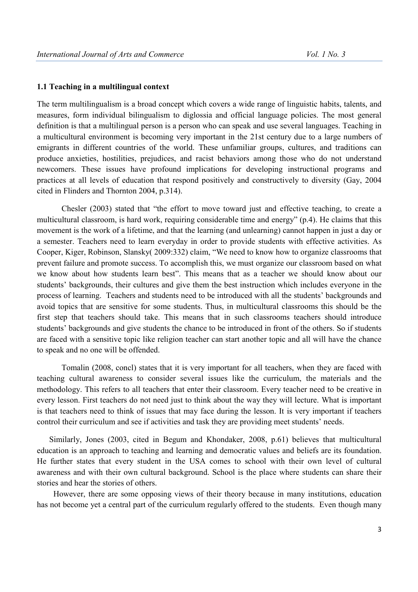#### **1.1 Teaching in a multilingual context**

The term multilingualism is a broad concept which covers a wide range of linguistic habits, talents, and measures, form individual bilingualism to diglossia and official language policies. The most general definition is that a multilingual person is a person who can speak and use several languages. Teaching in a multicultural environment is becoming very important in the 21st century due to a large numbers of emigrants in different countries of the world. These unfamiliar groups, cultures, and traditions can produce anxieties, hostilities, prejudices, and racist behaviors among those who do not understand newcomers. These issues have profound implications for developing instructional programs and practices at all levels of education that respond positively and constructively to diversity (Gay, 2004 cited in Flinders and Thornton 2004, p.314).

 Chesler (2003) stated that "the effort to move toward just and effective teaching, to create a multicultural classroom, is hard work, requiring considerable time and energy" (p.4). He claims that this movement is the work of a lifetime, and that the learning (and unlearning) cannot happen in just a day or a semester. Teachers need to learn everyday in order to provide students with effective activities. As Cooper, Kiger, Robinson, Slansky( 2009:332) claim, "We need to know how to organize classrooms that prevent failure and promote success. To accomplish this, we must organize our classroom based on what we know about how students learn best". This means that as a teacher we should know about our students' backgrounds, their cultures and give them the best instruction which includes everyone in the process of learning. Teachers and students need to be introduced with all the students' backgrounds and avoid topics that are sensitive for some students. Thus, in multicultural classrooms this should be the first step that teachers should take. This means that in such classrooms teachers should introduce students' backgrounds and give students the chance to be introduced in front of the others. So if students are faced with a sensitive topic like religion teacher can start another topic and all will have the chance to speak and no one will be offended.

Tomalin (2008, concl) states that it is very important for all teachers, when they are faced with teaching cultural awareness to consider several issues like the curriculum, the materials and the methodology. This refers to all teachers that enter their classroom. Every teacher need to be creative in every lesson. First teachers do not need just to think about the way they will lecture. What is important is that teachers need to think of issues that may face during the lesson. It is very important if teachers control their curriculum and see if activities and task they are providing meet students' needs.

Similarly, Jones (2003, cited in Begum and Khondaker, 2008, p.61) believes that multicultural education is an approach to teaching and learning and democratic values and beliefs are its foundation. He further states that every student in the USA comes to school with their own level of cultural awareness and with their own cultural background. School is the place where students can share their stories and hear the stories of others.

However, there are some opposing views of their theory because in many institutions, education has not become yet a central part of the curriculum regularly offered to the students. Even though many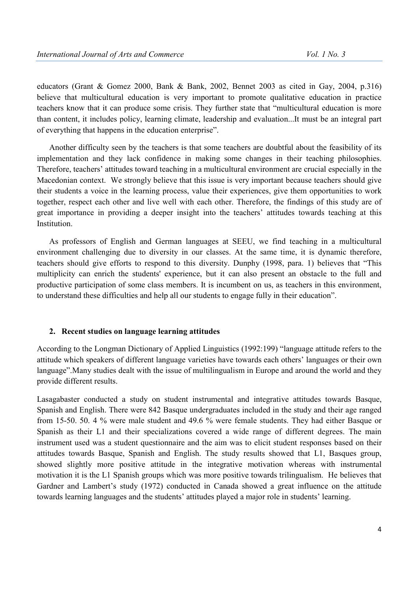educators (Grant & Gomez 2000, Bank & Bank, 2002, Bennet 2003 as cited in Gay, 2004, p.316) believe that multicultural education is very important to promote qualitative education in practice teachers know that it can produce some crisis. They further state that "multicultural education is more than content, it includes policy, learning climate, leadership and evaluation...It must be an integral part of everything that happens in the education enterprise".

Another difficulty seen by the teachers is that some teachers are doubtful about the feasibility of its implementation and they lack confidence in making some changes in their teaching philosophies. Therefore, teachers' attitudes toward teaching in a multicultural environment are crucial especially in the Macedonian context. We strongly believe that this issue is very important because teachers should give their students a voice in the learning process, value their experiences, give them opportunities to work together, respect each other and live well with each other. Therefore, the findings of this study are of great importance in providing a deeper insight into the teachers' attitudes towards teaching at this **Institution** 

As professors of English and German languages at SEEU, we find teaching in a multicultural environment challenging due to diversity in our classes. At the same time, it is dynamic therefore, teachers should give efforts to respond to this diversity. Dunphy (1998, para. 1) believes that "This multiplicity can enrich the students' experience, but it can also present an obstacle to the full and productive participation of some class members. It is incumbent on us, as teachers in this environment, to understand these difficulties and help all our students to engage fully in their education".

#### **2. Recent studies on language learning attitudes**

According to the Longman Dictionary of Applied Linguistics (1992:199) "language attitude refers to the attitude which speakers of different language varieties have towards each others' languages or their own language".Many studies dealt with the issue of multilingualism in Europe and around the world and they provide different results.

Lasagabaster conducted a study on student instrumental and integrative attitudes towards Basque, Spanish and English. There were 842 Basque undergraduates included in the study and their age ranged from 15-50. 50. 4 % were male student and 49.6 % were female students. They had either Basque or Spanish as their L1 and their specializations covered a wide range of different degrees. The main instrument used was a student questionnaire and the aim was to elicit student responses based on their attitudes towards Basque, Spanish and English. The study results showed that L1, Basques group, showed slightly more positive attitude in the integrative motivation whereas with instrumental motivation it is the L1 Spanish groups which was more positive towards trilingualism. He believes that Gardner and Lambert's study (1972) conducted in Canada showed a great influence on the attitude towards learning languages and the students' attitudes played a major role in students' learning.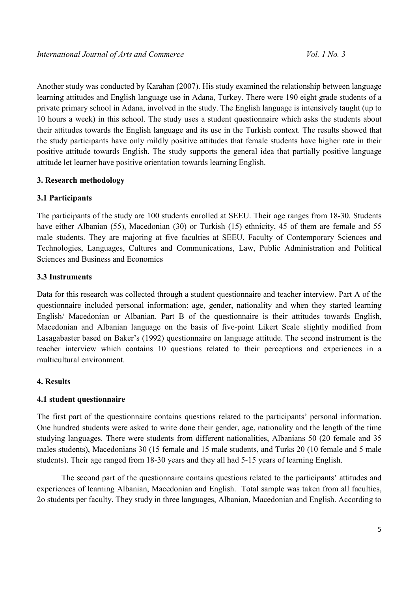Another study was conducted by Karahan (2007). His study examined the relationship between language learning attitudes and English language use in Adana, Turkey. There were 190 eight grade students of a private primary school in Adana, involved in the study. The English language is intensively taught (up to 10 hours a week) in this school. The study uses a student questionnaire which asks the students about their attitudes towards the English language and its use in the Turkish context. The results showed that the study participants have only mildly positive attitudes that female students have higher rate in their positive attitude towards English. The study supports the general idea that partially positive language attitude let learner have positive orientation towards learning English.

### **3. Research methodology**

### **3.1 Participants**

The participants of the study are 100 students enrolled at SEEU. Their age ranges from 18-30. Students have either Albanian (55), Macedonian (30) or Turkish (15) ethnicity, 45 of them are female and 55 male students. They are majoring at five faculties at SEEU, Faculty of Contemporary Sciences and Technologies, Languages, Cultures and Communications, Law, Public Administration and Political Sciences and Business and Economics

### **3.3 Instruments**

Data for this research was collected through a student questionnaire and teacher interview. Part A of the questionnaire included personal information: age, gender, nationality and when they started learning English/ Macedonian or Albanian. Part B of the questionnaire is their attitudes towards English, Macedonian and Albanian language on the basis of five-point Likert Scale slightly modified from Lasagabaster based on Baker's (1992) questionnaire on language attitude. The second instrument is the teacher interview which contains 10 questions related to their perceptions and experiences in a multicultural environment.

### **4. Results**

### **4.1 student questionnaire**

The first part of the questionnaire contains questions related to the participants' personal information. One hundred students were asked to write done their gender, age, nationality and the length of the time studying languages. There were students from different nationalities, Albanians 50 (20 female and 35 males students), Macedonians 30 (15 female and 15 male students, and Turks 20 (10 female and 5 male students). Their age ranged from 18-30 years and they all had 5-15 years of learning English.

The second part of the questionnaire contains questions related to the participants' attitudes and experiences of learning Albanian, Macedonian and English. Total sample was taken from all faculties, 2o students per faculty. They study in three languages, Albanian, Macedonian and English. According to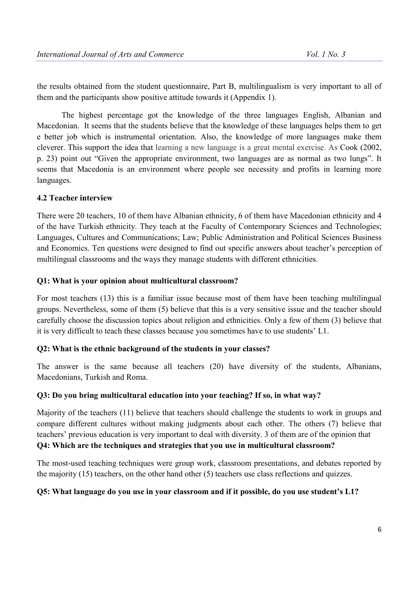the results obtained from the student questionnaire, Part B, multilingualism is very important to all of them and the participants show positive attitude towards it (Appendix 1).

The highest percentage got the knowledge of the three languages English, Albanian and Macedonian. It seems that the students believe that the knowledge of these languages helps them to get e better job which is instrumental orientation. Also, the knowledge of more languages make them cleverer. This support the idea that learning a new language is a great mental exercise. As Cook (2002, p. 23) point out "Given the appropriate environment, two languages are as normal as two lungs". It seems that Macedonia is an environment where people see necessity and profits in learning more languages.

## **4.2 Teacher interview**

There were 20 teachers, 10 of them have Albanian ethnicity, 6 of them have Macedonian ethnicity and 4 of the have Turkish ethnicity. They teach at the Faculty of Contemporary Sciences and Technologies; Languages, Cultures and Communications; Law; Public Administration and Political Sciences Business and Economics. Ten questions were designed to find out specific answers about teacher's perception of multilingual classrooms and the ways they manage students with different ethnicities.

### **Q1: What is your opinion about multicultural classroom?**

For most teachers (13) this is a familiar issue because most of them have been teaching multilingual groups. Nevertheless, some of them (5) believe that this is a very sensitive issue and the teacher should carefully choose the discussion topics about religion and ethnicities. Only a few of them (3) believe that it is very difficult to teach these classes because you sometimes have to use students' L1.

### **Q2: What is the ethnic background of the students in your classes?**

The answer is the same because all teachers (20) have diversity of the students, Albanians, Macedonians, Turkish and Roma.

### **Q3: Do you bring multicultural education into your teaching? If so, in what way?**

Majority of the teachers (11) believe that teachers should challenge the students to work in groups and compare different cultures without making judgments about each other. The others (7) believe that teachers' previous education is very important to deal with diversity. 3 of them are of the opinion that **Q4: Which are the techniques and strategies that you use in multicultural classroom?** 

The most-used teaching techniques were group work, classroom presentations, and debates reported by the majority (15) teachers, on the other hand other (5) teachers use class reflections and quizzes.

## **Q5: What language do you use in your classroom and if it possible, do you use student's L1?**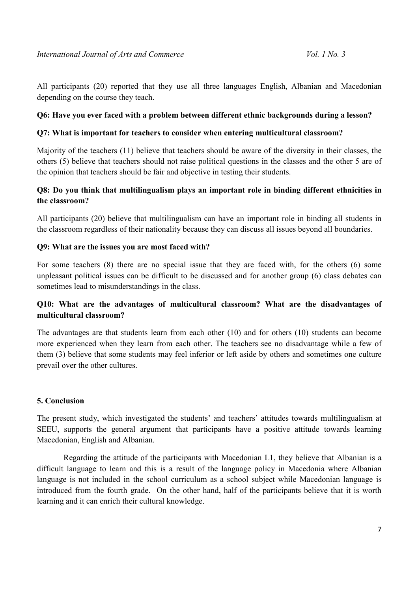All participants (20) reported that they use all three languages English, Albanian and Macedonian depending on the course they teach.

## **Q6: Have you ever faced with a problem between different ethnic backgrounds during a lesson?**

### **Q7: What is important for teachers to consider when entering multicultural classroom?**

Majority of the teachers (11) believe that teachers should be aware of the diversity in their classes, the others (5) believe that teachers should not raise political questions in the classes and the other 5 are of the opinion that teachers should be fair and objective in testing their students.

## **Q8: Do you think that multilingualism plays an important role in binding different ethnicities in the classroom?**

All participants (20) believe that multilingualism can have an important role in binding all students in the classroom regardless of their nationality because they can discuss all issues beyond all boundaries.

### **Q9: What are the issues you are most faced with?**

For some teachers (8) there are no special issue that they are faced with, for the others (6) some unpleasant political issues can be difficult to be discussed and for another group (6) class debates can sometimes lead to misunderstandings in the class.

## **Q10: What are the advantages of multicultural classroom? What are the disadvantages of multicultural classroom?**

The advantages are that students learn from each other (10) and for others (10) students can become more experienced when they learn from each other. The teachers see no disadvantage while a few of them (3) believe that some students may feel inferior or left aside by others and sometimes one culture prevail over the other cultures.

### **5. Conclusion**

The present study, which investigated the students' and teachers' attitudes towards multilingualism at SEEU, supports the general argument that participants have a positive attitude towards learning Macedonian, English and Albanian.

 Regarding the attitude of the participants with Macedonian L1, they believe that Albanian is a difficult language to learn and this is a result of the language policy in Macedonia where Albanian language is not included in the school curriculum as a school subject while Macedonian language is introduced from the fourth grade. On the other hand, half of the participants believe that it is worth learning and it can enrich their cultural knowledge.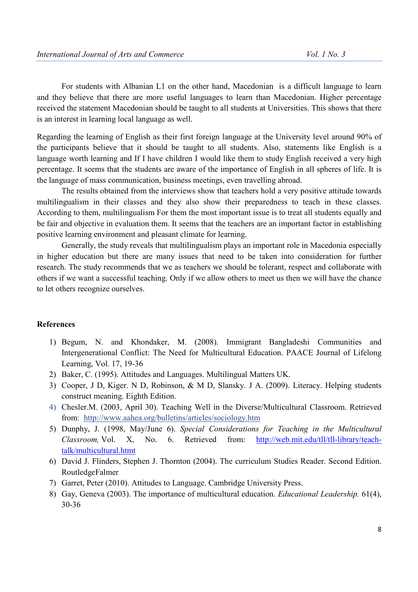For students with Albanian L1 on the other hand, Macedonian is a difficult language to learn and they believe that there are more useful languages to learn than Macedonian. Higher percentage received the statement Macedonian should be taught to all students at Universities. This shows that there is an interest in learning local language as well.

Regarding the learning of English as their first foreign language at the University level around 90% of the participants believe that it should be taught to all students. Also, statements like English is a language worth learning and If I have children I would like them to study English received a very high percentage. It seems that the students are aware of the importance of English in all spheres of life. It is the language of mass communication, business meetings, even travelling abroad.

The results obtained from the interviews show that teachers hold a very positive attitude towards multilingualism in their classes and they also show their preparedness to teach in these classes. According to them, multilingualism For them the most important issue is to treat all students equally and be fair and objective in evaluation them. It seems that the teachers are an important factor in establishing positive learning environment and pleasant climate for learning.

Generally, the study reveals that multilingualism plays an important role in Macedonia especially in higher education but there are many issues that need to be taken into consideration for further research. The study recommends that we as teachers we should be tolerant, respect and collaborate with others if we want a successful teaching. Only if we allow others to meet us then we will have the chance to let others recognize ourselves.

### **References**

- 1) Begum, N. and Khondaker, M. (2008). Immigrant Bangladeshi Communities and Intergenerational Conflict: The Need for Multicultural Education. PAACE Journal of Lifelong Learning, Vol. 17, 19-36
- 2) Baker, C. (1995). Attitudes and Languages. Multilingual Matters UK.
- 3) Cooper, J D, Kiger. N D, Robinson, & M D, Slansky. J A. (2009). Literacy. Helping students construct meaning. Eighth Edition.
- 4) Chesler.M. (2003, April 30). Teaching Well in the Diverse/Multicultural Classroom. Retrieved from: http://www.aahea.org/bulletins/articles/sociology.htm
- 5) Dunphy, J. (1998, May/June 6). *Special Considerations for Teaching in the Multicultural Classroom,* Vol. X, No. 6. Retrieved from: http://web.mit.edu/tll/tll-library/teachtalk/multicultural.htmt
- 6) David J. Flinders, Stephen J. Thornton (2004). The curriculum Studies Reader. Second Edition. RoutledgeFalmer
- 7) Garret, Peter (2010). Attitudes to Language. Cambridge University Press.
- 8) Gay, Geneva (2003). The importance of multicultural education. *Educational Leadership.* 61(4), 30-36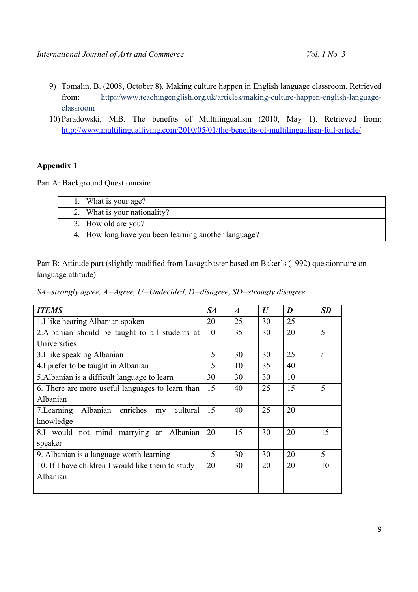- 9) Tomalin. B. (2008, October 8). Making culture happen in English language classroom. Retrieved from: http://www.teachingenglish.org.uk/articles/making-culture-happen-english-languageclassroom
- 10) Paradowski, M.B. The benefits of Multilingualism (2010, May 1). Retrieved from: http://www.multilingualliving.com/2010/05/01/the-benefits-of-multilingualism-full-article/

### **Appendix 1**

Part A: Background Questionnaire

| 1. What is your age?                                 |  |
|------------------------------------------------------|--|
| 2. What is your nationality?                         |  |
| 3. How old are you?                                  |  |
| 4. How long have you been learning another language? |  |

Part B: Attitude part (slightly modified from Lasagabaster based on Baker's (1992) questionnaire on language attitude)

*SA=strongly agree, A=Agree, U=Undecided, D=disagree, SD=strongly disagree* 

| <b>ITEMS</b>                                       | $S\!A$ | $\boldsymbol{A}$ | U  | D  | <b>SD</b> |
|----------------------------------------------------|--------|------------------|----|----|-----------|
| 1.I like hearing Albanian spoken                   | 20     | 25               | 30 | 25 |           |
| 2. Albanian should be taught to all students at    | 10     | 35               | 30 | 20 | 5         |
| Universities                                       |        |                  |    |    |           |
| 3.I like speaking Albanian                         | 15     | 30               | 30 | 25 |           |
| 4. I prefer to be taught in Albanian               | 15     | 10               | 35 | 40 |           |
| 5. Albanian is a difficult language to learn       | 30     | 30               | 30 | 10 |           |
| 6. There are more useful languages to learn than   | 15     | 40               | 25 | 15 | 5         |
| Albanian                                           |        |                  |    |    |           |
| Albanian enriches<br>7. Learning<br>cultural<br>my | 15     | 40               | 25 | 20 |           |
| knowledge                                          |        |                  |    |    |           |
| 8.I would not mind marrying an Albanian            | 20     | 15               | 30 | 20 | 15        |
| speaker                                            |        |                  |    |    |           |
| 9. Albanian is a language worth learning           | 15     | 30               | 30 | 20 | 5         |
| 10. If I have children I would like them to study  | 20     | 30               | 20 | 20 | 10        |
| Albanian                                           |        |                  |    |    |           |
|                                                    |        |                  |    |    |           |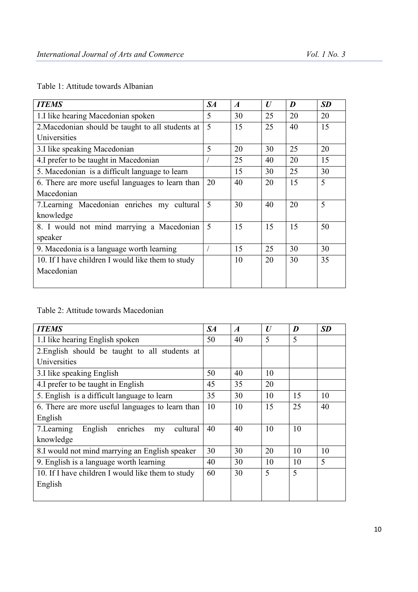|  | Table 1: Attitude towards Albanian |  |
|--|------------------------------------|--|
|--|------------------------------------|--|

| <b>ITEMS</b>                                      | $S\!A$ | $\boldsymbol{A}$ | $\boldsymbol{U}$ | D  | <b>SD</b> |
|---------------------------------------------------|--------|------------------|------------------|----|-----------|
| 1. I like hearing Macedonian spoken               | 5      | 30               | 25               | 20 | 20        |
| 2. Macedonian should be taught to all students at | 5      | 15               | 25               | 40 | 15        |
| Universities                                      |        |                  |                  |    |           |
| 3.I like speaking Macedonian                      | 5      | 20               | 30               | 25 | 20        |
| 4.I prefer to be taught in Macedonian             |        | 25               | 40               | 20 | 15        |
| 5. Macedonian is a difficult language to learn    |        | 15               | 30               | 25 | 30        |
| 6. There are more useful languages to learn than  | 20     | 40               | 20               | 15 | 5         |
| Macedonian                                        |        |                  |                  |    |           |
| 7. Learning Macedonian enriches my cultural       | 5      | 30               | 40               | 20 | 5         |
| knowledge                                         |        |                  |                  |    |           |
| 8. I would not mind marrying a Macedonian         | 5      | 15               | 15               | 15 | 50        |
| speaker                                           |        |                  |                  |    |           |
| 9. Macedonia is a language worth learning         |        | 15               | 25               | 30 | 30        |
| 10. If I have children I would like them to study |        | 10               | 20               | 30 | 35        |
| Macedonian                                        |        |                  |                  |    |           |
|                                                   |        |                  |                  |    |           |

# Table 2: Attitude towards Macedonian

| <b>ITEMS</b>                                         | $S\!A$ | $\boldsymbol{A}$ | $\bm{U}$ | D  | <b>SD</b> |
|------------------------------------------------------|--------|------------------|----------|----|-----------|
| 1. I like hearing English spoken                     | 50     | 40               | 5        | 5  |           |
| 2. English should be taught to all students at       |        |                  |          |    |           |
| Universities                                         |        |                  |          |    |           |
| 3.I like speaking English                            | 50     | 40               | 10       |    |           |
| 4. I prefer to be taught in English                  | 45     | 35               | 20       |    |           |
| 5. English is a difficult language to learn          | 35     | 30               | 10       | 15 | 10        |
| 6. There are more useful languages to learn than     | 10     | 10               | 15       | 25 | 40        |
| English                                              |        |                  |          |    |           |
| enriches<br>English<br>cultural<br>7. Learning<br>my | 40     | 40               | 10       | 10 |           |
| knowledge                                            |        |                  |          |    |           |
| 8.I would not mind marrying an English speaker       | 30     | 30               | 20       | 10 | 10        |
| 9. English is a language worth learning              | 40     | 30               | 10       | 10 | 5         |
| 10. If I have children I would like them to study    | 60     | 30               | 5        | 5  |           |
| English                                              |        |                  |          |    |           |
|                                                      |        |                  |          |    |           |